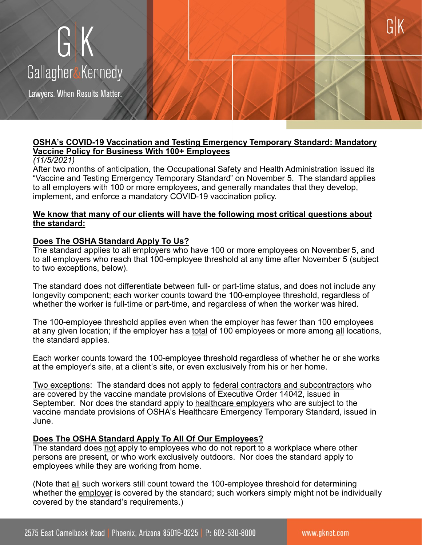# GK Gallagher&Kennedy

Lawyers. When Results Matter.

### **OSHA's COVID-19 Vaccination and Testing Emergency Temporary Standard: Mandatory Vaccine Policy for Business With 100+ Employees**

#### *(11/5/2021)*

After two months of anticipation, the Occupational Safety and Health Administration issued its "Vaccine and Testing Emergency Temporary Standard" on November 5. The standard applies to all employers with 100 or more employees, and generally mandates that they develop, implement, and enforce a mandatory COVID-19 vaccination policy.

#### **We know that many of our clients will have the following most critical questions about the standard:**

#### **Does The OSHA Standard Apply To Us?**

The standard applies to all employers who have 100 or more employees on November 5, and to all employers who reach that 100-employee threshold at any time after November 5 (subject to two exceptions, below).

The standard does not differentiate between full- or part-time status, and does not include any longevity component; each worker counts toward the 100-employee threshold, regardless of whether the worker is full-time or part-time, and regardless of when the worker was hired.

The 100-employee threshold applies even when the employer has fewer than 100 employees at any given location; if the employer has a total of 100 employees or more among all locations, the standard applies.

Each worker counts toward the 100-employee threshold regardless of whether he or she works at the employer's site, at a client's site, or even exclusively from his or her home.

Two exceptions: The standard does not apply to federal contractors and subcontractors who are covered by the vaccine mandate provisions of Executive Order 14042, issued in September. Nor does the standard apply to healthcare employers who are subject to the vaccine mandate provisions of OSHA's Healthcare Emergency Temporary Standard, issued in June.

#### **Does The OSHA Standard Apply To All Of Our Employees?**

The standard does not apply to employees who do not report to a workplace where other persons are present, or who work exclusively outdoors. Nor does the standard apply to employees while they are working from home.

(Note that all such workers still count toward the 100-employee threshold for determining whether the employer is covered by the standard; such workers simply might not be individually covered by the standard's requirements.)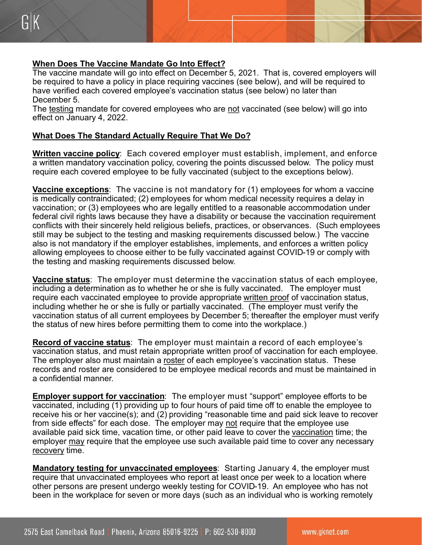# **When Does The Vaccine Mandate Go Into Effect?**

The vaccine mandate will go into effect on December 5, 2021. That is, covered employers will be required to have a policy in place requiring vaccines (see below), and will be required to have verified each covered employee's vaccination status (see below) no later than December 5.

The testing mandate for covered employees who are not vaccinated (see below) will go into effect on January 4, 2022.

## **What Does The Standard Actually Require That We Do?**

**Written vaccine policy**: Each covered employer must establish, implement, and enforce a written mandatory vaccination policy, covering the points discussed below. The policy must require each covered employee to be fully vaccinated (subject to the exceptions below).

**Vaccine exceptions**: The vaccine is not mandatory for (1) employees for whom a vaccine is medically contraindicated; (2) employees for whom medical necessity requires a delay in vaccination; or (3) employees who are legally entitled to a reasonable accommodation under federal civil rights laws because they have a disability or because the vaccination requirement conflicts with their sincerely held religious beliefs, practices, or observances. (Such employees still may be subject to the testing and masking requirements discussed below.) The vaccine also is not mandatory if the employer establishes, implements, and enforces a written policy allowing employees to choose either to be fully vaccinated against COVID-19 or comply with the testing and masking requirements discussed below.

**Vaccine status**: The employer must determine the vaccination status of each employee, including a determination as to whether he or she is fully vaccinated. The employer must require each vaccinated employee to provide appropriate written proof of vaccination status, including whether he or she is fully or partially vaccinated. (The employer must verify the vaccination status of all current employees by December 5; thereafter the employer must verify the status of new hires before permitting them to come into the workplace.)

**Record of vaccine status**: The employer must maintain a record of each employee's vaccination status, and must retain appropriate written proof of vaccination for each employee. The employer also must maintain a roster of each employee's vaccination status. These records and roster are considered to be employee medical records and must be maintained in a confidential manner.

**Employer support for vaccination**: The employer must "support" employee efforts to be vaccinated, including (1) providing up to four hours of paid time off to enable the employee to receive his or her vaccine(s); and (2) providing "reasonable time and paid sick leave to recover from side effects" for each dose. The employer may not require that the employee use available paid sick time, vacation time, or other paid leave to cover the vaccination time; the employer may require that the employee use such available paid time to cover any necessary recovery time.

**Mandatory testing for unvaccinated employees**: Starting January 4, the employer must require that unvaccinated employees who report at least once per week to a location where other persons are present undergo weekly testing for COVID-19. An employee who has not been in the workplace for seven or more days (such as an individual who is working remotely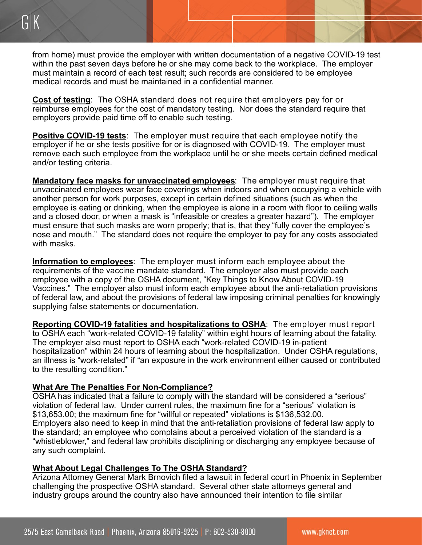from home) must provide the employer with written documentation of a negative COVID-19 test within the past seven days before he or she may come back to the workplace. The employer must maintain a record of each test result; such records are considered to be employee medical records and must be maintained in a confidential manner.

**Cost of testing**: The OSHA standard does not require that employers pay for or reimburse employees for the cost of mandatory testing. Nor does the standard require that employers provide paid time off to enable such testing.

**Positive COVID-19 tests**: The employer must require that each employee notify the employer if he or she tests positive for or is diagnosed with COVID-19. The employer must remove each such employee from the workplace until he or she meets certain defined medical and/or testing criteria.

**Mandatory face masks for unvaccinated employees**: The employer must require that unvaccinated employees wear face coverings when indoors and when occupying a vehicle with another person for work purposes, except in certain defined situations (such as when the employee is eating or drinking, when the employee is alone in a room with floor to ceiling walls and a closed door, or when a mask is "infeasible or creates a greater hazard"). The employer must ensure that such masks are worn properly; that is, that they "fully cover the employee's nose and mouth." The standard does not require the employer to pay for any costs associated with masks.

**Information to employees**: The employer must inform each employee about the requirements of the vaccine mandate standard. The employer also must provide each employee with a copy of the OSHA document, "Key Things to Know About COVID-19 Vaccines." The employer also must inform each employee about the anti-retaliation provisions of federal law, and about the provisions of federal law imposing criminal penalties for knowingly supplying false statements or documentation.

**Reporting COVID-19 fatalities and hospitalizations to OSHA**: The employer must report to OSHA each "work-related COVID-19 fatality" within eight hours of learning about the fatality. The employer also must report to OSHA each "work-related COVID-19 in-patient hospitalization" within 24 hours of learning about the hospitalization. Under OSHA regulations, an illness is "work-related" if "an exposure in the work environment either caused or contributed to the resulting condition."

## **What Are The Penalties For Non-Compliance?**

OSHA has indicated that a failure to comply with the standard will be considered a "serious" violation of federal law. Under current rules, the maximum fine for a "serious" violation is \$13,653.00; the maximum fine for "willful or repeated" violations is \$136,532.00. Employers also need to keep in mind that the anti-retaliation provisions of federal law apply to the standard; an employee who complains about a perceived violation of the standard is a "whistleblower," and federal law prohibits disciplining or discharging any employee because of any such complaint.

## **What About Legal Challenges To The OSHA Standard?**

Arizona Attorney General Mark Brnovich filed a lawsuit in federal court in Phoenix in September challenging the prospective OSHA standard. Several other state attorneys general and industry groups around the country also have announced their intention to file similar